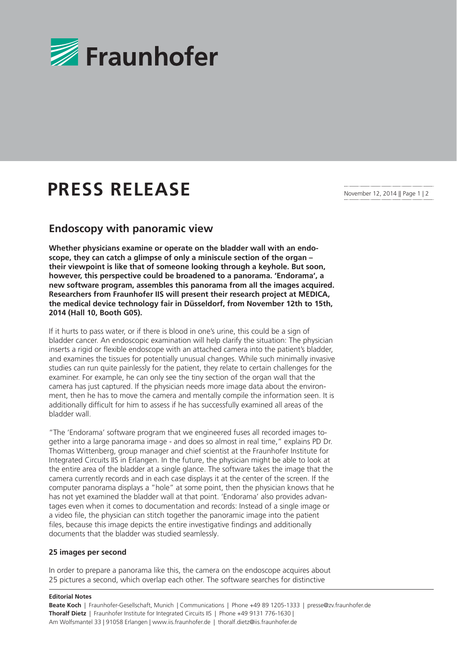

# **PRESS RELEASE**

November 12, 2014 || Page 1 | 2

# **Endoscopy with panoramic view**

**Whether physicians examine or operate on the bladder wall with an endoscope, they can catch a glimpse of only a miniscule section of the organ – their viewpoint is like that of someone looking through a keyhole. But soon, however, this perspective could be broadened to a panorama. 'Endorama', a new software program, assembles this panorama from all the images acquired. Researchers from Fraunhofer IIS will present their research project at MEDICA, the medical device technology fair in Düsseldorf, from November 12th to 15th, 2014 (Hall 10, Booth G05).** 

If it hurts to pass water, or if there is blood in one's urine, this could be a sign of bladder cancer. An endoscopic examination will help clarify the situation: The physician inserts a rigid or flexible endoscope with an attached camera into the patient's bladder. and examines the tissues for potentially unusual changes. While such minimally invasive studies can run quite painlessly for the patient, they relate to certain challenges for the examiner. For example, he can only see the tiny section of the organ wall that the camera has just captured. If the physician needs more image data about the environment, then he has to move the camera and mentally compile the information seen. It is additionally difficult for him to assess if he has successfully examined all areas of the bladder wall.

"The 'Endorama' software program that we engineered fuses all recorded images together into a large panorama image - and does so almost in real time," explains PD Dr. Thomas Wittenberg, group manager and chief scientist at the Fraunhofer Institute for Integrated Circuits IIS in Erlangen. In the future, the physician might be able to look at the entire area of the bladder at a single glance. The software takes the image that the camera currently records and in each case displays it at the center of the screen. If the computer panorama displays a "hole" at some point, then the physician knows that he has not yet examined the bladder wall at that point. 'Endorama' also provides advantages even when it comes to documentation and records: Instead of a single image or a video file, the physician can stitch together the panoramic image into the patient files, because this image depicts the entire investigative findings and additionally documents that the bladder was studied seamlessly.

## **25 images per second**

In order to prepare a panorama like this, the camera on the endoscope acquires about 25 pictures a second, which overlap each other. The software searches for distinctive

### **Editorial Notes**